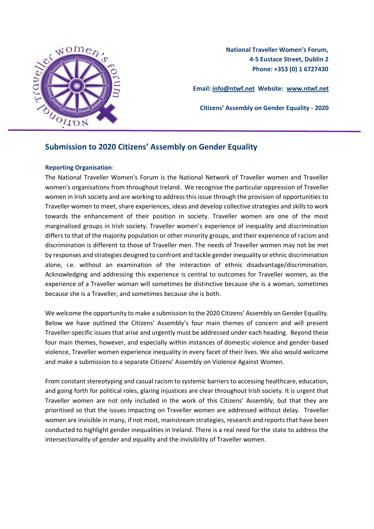

**National Traveller Women's Forum, 4-5 Eustace Street, Dublin 2 Phone: +353 (0) 1 6727430**

**Email: info@ntwf.net Website: [www.ntwf.net](http://www.ntwf.net/)**

**Citizens' Assembly on Gender Equality - 2020**

### **Submission to 2020 Citizens' Assembly on Gender Equality**

#### **Reporting Organisation**:

The National Traveller Women's Forum is the National Network of Traveller women and Traveller women's organisations from throughout Ireland. We recognise the particular oppression of Traveller women in Irish society and are working to address this issue through the provision of opportunities to Traveller women to meet, share experiences, ideas and develop collective strategies and skills to work towards the enhancement of their position in society. Traveller women are one of the most marginalised groups in Irish society. Traveller women's experience of inequality and discrimination differs to that of the majority population or other minority groups, and their experience of racism and discrimination is different to those of Traveller men. The needs of Traveller women may not be met by responses and strategies designed to confront and tackle gender inequality or ethnic discrimination alone, i.e. without an examination of the interaction of ethnic disadvantage/discrimination. Acknowledging and addressing this experience is central to outcomes for Traveller women, as the experience of a Traveller woman will sometimes be distinctive because she is a woman, sometimes because she is a Traveller, and sometimes because she is both.

We welcome the opportunity to make a submission to the 2020 Citizens' Assembly on Gender Equality. Below we have outlined the Citizens' Assembly's four main themes of concern and will present Traveller-specific issues that arise and urgently must be addressed under each heading. Beyond these four main themes, however, and especially within instances of domestic violence and gender-based violence, Traveller women experience inequality in every facet of their lives. We also would welcome and make a submission to a separate Citizens' Assembly on Violence Against Women.

From constant stereotyping and casual racism to systemic barriers to accessing healthcare, education, and going forth for political roles, glaring injustices are clear throughout Irish society. It is urgent that Traveller women are not only included in the work of this Citizens' Assembly, but that they are prioritised so that the issues impacting on Traveller women are addressed without delay. Traveller women are invisible in many, if not most, mainstream strategies, research and reports that have been conducted to highlight gender inequalities in Ireland. There is a real need for the state to address the intersectionality of gender and equality and the invisibility of Traveller women.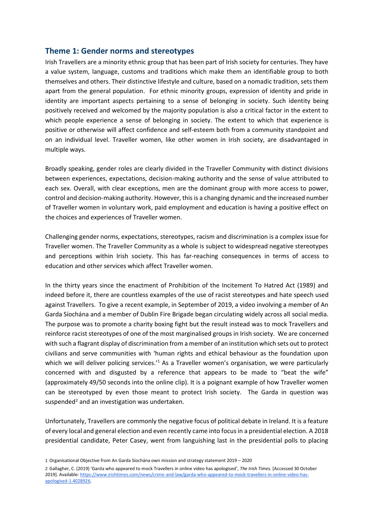### **Theme 1: Gender norms and stereotypes**

Irish Travellers are a minority ethnic group that has been part of Irish society for centuries. They have a value system, language, customs and traditions which make them an identifiable group to both themselves and others. Their distinctive lifestyle and culture, based on a nomadic tradition, sets them apart from the general population. For ethnic minority groups, expression of identity and pride in identity are important aspects pertaining to a sense of belonging in society. Such identity being positively received and welcomed by the majority population is also a critical factor in the extent to which people experience a sense of belonging in society. The extent to which that experience is positive or otherwise will affect confidence and self-esteem both from a community standpoint and on an individual level. Traveller women, like other women in Irish society, are disadvantaged in multiple ways.

Broadly speaking, gender roles are clearly divided in the Traveller Community with distinct divisions between experiences, expectations, decision-making authority and the sense of value attributed to each sex. Overall, with clear exceptions, men are the dominant group with more access to power, control and decision-making authority. However, this is a changing dynamic and the increased number of Traveller women in voluntary work, paid employment and education is having a positive effect on the choices and experiences of Traveller women.

Challenging gender norms, expectations, stereotypes, racism and discrimination is a complex issue for Traveller women. The Traveller Community as a whole is subject to widespread negative stereotypes and perceptions within Irish society. This has far-reaching consequences in terms of access to education and other services which affect Traveller women.

In the thirty years since the enactment of Prohibition of the Incitement To Hatred Act (1989) and indeed before it, there are countless examples of the use of racist stereotypes and hate speech used against Travellers. To give a recent example, in September of 2019, a video involving a member of An Garda Síochána and a member of Dublin Fire Brigade began circulating widely across all social media. The purpose was to promote a charity boxing fight but the result instead was to mock Travellers and reinforce racist stereotypes of one of the most marginalised groups in Irish society. We are concerned with such a flagrant display of discrimination from a member of an institution which sets out to protect civilians and serve communities with 'human rights and ethical behaviour as the foundation upon which we will deliver policing services.<sup>1</sup> As a Traveller women's organisation, we were particularly concerned with and disgusted by a reference that appears to be made to "beat the wife" (approximately 49/50 seconds into the online clip). It is a poignant example of how Traveller women can be stereotyped by even those meant to protect Irish society. The Garda in question was suspended<sup>2</sup> and an investigation was undertaken.

Unfortunately, Travellers are commonly the negative focus of political debate in Ireland. It is a feature of every local and general election and even recently came into focus in a presidential election. A 2018 presidential candidate, Peter Casey, went from languishing last in the presidential polls to placing

<sup>1</sup> Organisational Objective from An Garda Síochána own mission and strategy statement 2019 – 2020

<sup>2</sup> Gallagher, C. (2019) 'Garda who appeared to mock Travellers in online video has apologised', *The Irish Times.* [Accessed 30 October 2019]. Available: [https://www.irishtimes.com/news/crime-and-law/garda-who-appeared-to-mock-travellers-in-online-video-has](https://www.irishtimes.com/news/crime-and-law/garda-who-appeared-to-mock-travellers-in-online-video-has-apologised-1.4028926)[apologised-1.4028926.](https://www.irishtimes.com/news/crime-and-law/garda-who-appeared-to-mock-travellers-in-online-video-has-apologised-1.4028926)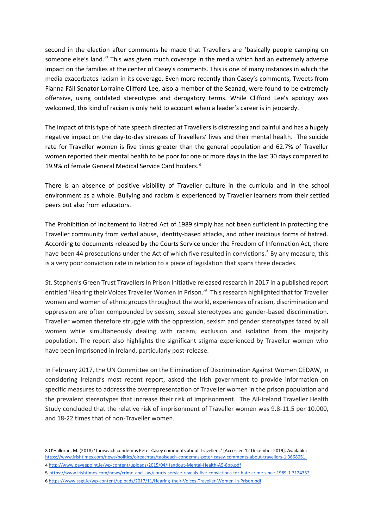second in the election after comments he made that Travellers are 'basically people camping on someone else's land.'<sup>3</sup> This was given much coverage in the media which had an extremely adverse impact on the families at the center of Casey's comments. This is one of many instances in which the media exacerbates racism in its coverage. Even more recently than Casey's comments, Tweets from Fianna Fáil Senator Lorraine Clifford Lee, also a member of the Seanad, were found to be extremely offensive, using outdated stereotypes and derogatory terms. While Clifford Lee's apology was welcomed, this kind of racism is only held to account when a leader's career is in jeopardy.

The impact of this type of hate speech directed at Travellers is distressing and painful and has a hugely negative impact on the day-to-day stresses of Travellers' lives and their mental health. The suicide rate for Traveller women is five times greater than the general population and 62.7% of Traveller women reported their mental health to be poor for one or more days in the last 30 days compared to 19.9% of female General Medical Service Card holders.<sup>4</sup>

There is an absence of positive visibility of Traveller culture in the curricula and in the school environment as a whole. Bullying and racism is experienced by Traveller learners from their settled peers but also from educators.

The Prohibition of Incitement to Hatred Act of 1989 simply has not been sufficient in protecting the Traveller community from verbal abuse, identity-based attacks, and other insidious forms of hatred. According to documents released by the Courts Service under the Freedom of Information Act, there have been 44 prosecutions under the Act of which five resulted in convictions.<sup>5</sup> By any measure, this is a very poor conviction rate in relation to a piece of legislation that spans three decades.

St. Stephen's Green Trust Travellers in Prison Initiative released research in 2017 in a published report entitled 'Hearing their Voices Traveller Women in Prison.'<sup>6</sup> This research highlighted that for Traveller women and women of ethnic groups throughout the world, experiences of racism, discrimination and oppression are often compounded by sexism, sexual stereotypes and gender-based discrimination. Traveller women therefore struggle with the oppression, sexism and gender stereotypes faced by all women while simultaneously dealing with racism, exclusion and isolation from the majority population. The report also highlights the significant stigma experienced by Traveller women who have been imprisoned in Ireland, particularly post-release.

In February 2017, the UN Committee on the Elimination of Discrimination Against Women CEDAW, in considering Ireland's most recent report, asked the Irish government to provide information on specific measures to address the overrepresentation of Traveller women in the prison population and the prevalent stereotypes that increase their risk of imprisonment. The All-Ireland Traveller Health Study concluded that the relative risk of imprisonment of Traveller women was 9.8-11.5 per 10,000, and 18-22 times that of non-Traveller women.

- 4 http://www.paveepoint.ie/wp-content/uploads/2015/04/Handout-Mental-Health-A5-8pp.pdf
- 5 <https://www.irishtimes.com/news/crime-and-law/courts-service-reveals-five-convictions-for-hate-crime-since-1989-1.3124352> 6 <https://www.ssgt.ie/wp-content/uploads/2017/11/Hearing-their-Voices-Traveller-Women-in-Prison.pdf>

<sup>3</sup> O'Halloran, M. (2018) 'Taoiseach condemns Peter Casey comments about Travellers.' [Accessed 12 December 2019]. Available: [https://www.irishtimes.com/news/politics/oireachtas/taoiseach-condemns-peter-casey-comments-about-travellers-1.3668051.](https://www.irishtimes.com/news/politics/oireachtas/taoiseach-condemns-peter-casey-comments-about-travellers-1.3668051)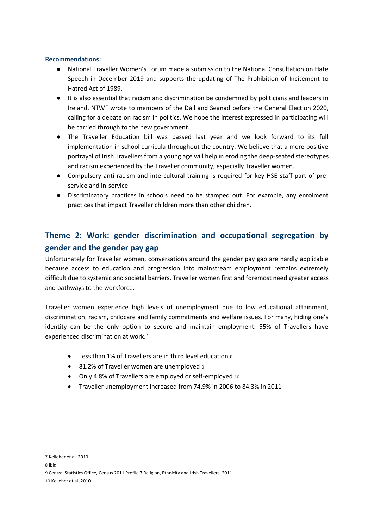#### **Recommendations:**

- National Traveller Women's Forum made a submission to the National Consultation on Hate Speech in December 2019 and supports the updating of The Prohibition of Incitement to Hatred Act of 1989.
- It is also essential that racism and discrimination be condemned by politicians and leaders in Ireland. NTWF wrote to members of the Dáil and Seanad before the General Election 2020, calling for a debate on racism in politics. We hope the interest expressed in participating will be carried through to the new government.
- The Traveller Education bill was passed last year and we look forward to its full implementation in school curricula throughout the country. We believe that a more positive portrayal of Irish Travellers from a young age will help in eroding the deep-seated stereotypes and racism experienced by the Traveller community, especially Traveller women.
- Compulsory anti-racism and intercultural training is required for key HSE staff part of preservice and in-service.
- Discriminatory practices in schools need to be stamped out. For example, any enrolment practices that impact Traveller children more than other children.

# **Theme 2: Work: gender discrimination and occupational segregation by gender and the gender pay gap**

Unfortunately for Traveller women, conversations around the gender pay gap are hardly applicable because access to education and progression into mainstream employment remains extremely difficult due to systemic and societal barriers. Traveller women first and foremost need greater access and pathways to the workforce.

Traveller women experience high levels of unemployment due to low educational attainment, discrimination, racism, childcare and family commitments and welfare issues. For many, hiding one's identity can be the only option to secure and maintain employment. 55% of Travellers have experienced discrimination at work.<sup>7</sup>

- Less than 1% of Travellers are in third level education <sup>8</sup>
- 81.2% of Traveller women are unemployed <sup>9</sup>
- Only 4.8% of Travellers are employed or self-employed <sup>10</sup>
- Traveller unemployment increased from 74.9% in 2006 to 84.3% in 2011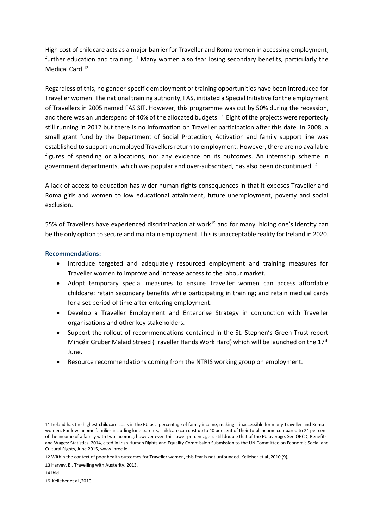High cost of childcare acts as a major barrier for Traveller and Roma women in accessing employment, further education and training.<sup>11</sup> Many women also fear losing secondary benefits, particularly the Medical Card.<sup>12</sup>

Regardless of this, no gender-specific employment or training opportunities have been introduced for Traveller women. The national training authority, FAS, initiated a Special Initiative for the employment of Travellers in 2005 named FAS SIT. However, this programme was cut by 50% during the recession, and there was an underspend of 40% of the allocated budgets.<sup>13</sup> Eight of the projects were reportedly still running in 2012 but there is no information on Traveller participation after this date. In 2008, a small grant fund by the Department of Social Protection, Activation and family support line was established to support unemployed Travellers return to employment. However, there are no available figures of spending or allocations, nor any evidence on its outcomes. An internship scheme in government departments, which was popular and over-subscribed, has also been discontinued.<sup>14</sup>

A lack of access to education has wider human rights consequences in that it exposes Traveller and Roma girls and women to low educational attainment, future unemployment, poverty and social exclusion.

55% of Travellers have experienced discrimination at work<sup>15</sup> and for many, hiding one's identity can be the only option to secure and maintain employment. This is unacceptable reality for Ireland in 2020.

#### **Recommendations:**

- Introduce targeted and adequately resourced employment and training measures for Traveller women to improve and increase access to the labour market.
- Adopt temporary special measures to ensure Traveller women can access affordable childcare; retain secondary benefits while participating in training; and retain medical cards for a set period of time after entering employment.
- Develop a Traveller Employment and Enterprise Strategy in conjunction with Traveller organisations and other key stakeholders.
- Support the rollout of recommendations contained in the St. Stephen's Green Trust report Mincéir Gruber Malaid Streed (Traveller Hands Work Hard) which will be launched on the 17th June.
- Resource recommendations coming from the NTRIS working group on employment.

<sup>11</sup> Ireland has the highest childcare costs in the EU as a percentage of family income, making it inaccessible for many Traveller and Roma women. For low income families including lone parents, childcare can cost up to 40 per cent of their total income compared to 24 per cent of the income of a family with two incomes; however even this lower percentage is still double that of the EU average. See OECD, Benefits and Wages: Statistics, 2014, cited in Irish Human Rights and Equality Commission Submission to the UN Committee on Economic Social and Cultural Rights, June 2015, [www.ihrec.ie.](http://www.ihrec.ie/)

<sup>12</sup> Within the context of poor health outcomes for Traveller women, this fear is not unfounded. Kelleher et al.,2010 (9);

<sup>13</sup> Harvey, B., Travelling with Austerity, 2013.

<sup>14</sup> Ibid.

<sup>15</sup> Kelleher et al.,2010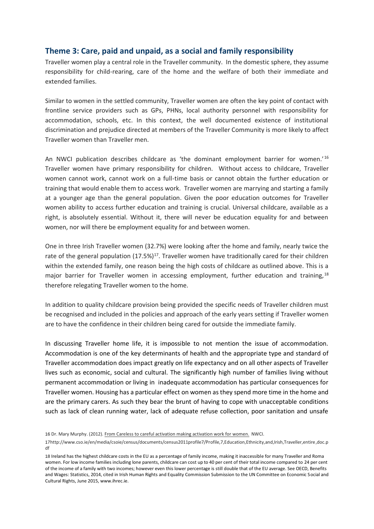## **Theme 3: Care, paid and unpaid, as a social and family responsibility**

Traveller women play a central role in the Traveller community. In the domestic sphere, they assume responsibility for child-rearing, care of the home and the welfare of both their immediate and extended families.

Similar to women in the settled community, Traveller women are often the key point of contact with frontline service providers such as GPs, PHNs, local authority personnel with responsibility for accommodation, schools, etc. In this context, the well documented existence of institutional discrimination and prejudice directed at members of the Traveller Community is more likely to affect Traveller women than Traveller men.

An NWCI publication describes childcare as 'the dominant employment barrier for women.'<sup>16</sup> Traveller women have primary responsibility for children. Without access to childcare, Traveller women cannot work, cannot work on a full-time basis or cannot obtain the further education or training that would enable them to access work. Traveller women are marrying and starting a family at a younger age than the general population. Given the poor education outcomes for Traveller women ability to access further education and training is crucial. Universal childcare, available as a right, is absolutely essential. Without it, there will never be education equality for and between women, nor will there be employment equality for and between women.

One in three Irish Traveller women (32.7%) were looking after the home and family, nearly twice the rate of the general population (17.5%)<sup>17</sup>. Traveller women have traditionally cared for their children within the extended family, one reason being the high costs of childcare as outlined above. This is a major barrier for Traveller women in accessing employment, further education and training, $18$ therefore relegating Traveller women to the home.

In addition to quality childcare provision being provided the specific needs of Traveller children must be recognised and included in the policies and approach of the early years setting if Traveller women are to have the confidence in their children being cared for outside the immediate family.

In discussing Traveller home life, it is impossible to not mention the issue of accommodation. Accommodation is one of the key determinants of health and the appropriate type and standard of Traveller accommodation does impact greatly on life expectancy and on all other aspects of Traveller lives such as economic, social and cultural. The significantly high number of families living without permanent accommodation or living in inadequate accommodation has particular consequences for Traveller women. Housing has a particular effect on women as they spend more time in the home and are the primary carers. As such they bear the brunt of having to cope with unacceptable conditions such as lack of clean running water, lack of adequate refuse collection, poor sanitation and unsafe

<sup>16</sup> Dr. Mary Murphy. (2012). From Careless to careful activation making activation work for women. NWCI.

<sup>17</sup>http://www.cso.ie/en/media/csoie/census/documents/census2011profile7/Profile,7,Education,Ethnicity,and,Irish,Traveller,entire,doc.p df

<sup>18</sup> Ireland has the highest childcare costs in the EU as a percentage of family income, making it inaccessible for many Traveller and Roma women. For low income families including lone parents, childcare can cost up to 40 per cent of their total income compared to 24 per cent of the income of a family with two incomes; however even this lower percentage is still double that of the EU average. See OECD, Benefits and Wages: Statistics, 2014, cited in Irish Human Rights and Equality Commission Submission to the UN Committee on Economic Social and Cultural Rights, June 2015, [www.ihrec.ie.](http://www.ihrec.ie/)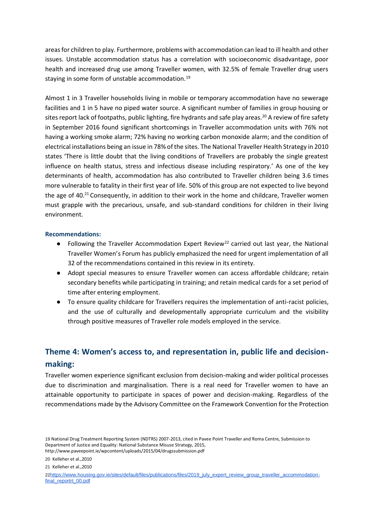areas for children to play. Furthermore, problems with accommodation can lead to ill health and other issues. Unstable accommodation status has a correlation with socioeconomic disadvantage, poor health and increased drug use among Traveller women, with 32.5% of female Traveller drug users staying in some form of unstable accommodation.<sup>19</sup>

Almost 1 in 3 Traveller households living in mobile or temporary accommodation have no sewerage facilities and 1 in 5 have no piped water source. A significant number of families in group housing or sites report lack of footpaths, public lighting, fire hydrants and safe play areas.<sup>20</sup> A review of fire safety in September 2016 found significant shortcomings in Traveller accommodation units with 76% not having a working smoke alarm; 72% having no working carbon monoxide alarm; and the condition of electrical installations being an issue in 78% of the sites. The National Traveller Health Strategy in 2010 states 'There is little doubt that the living conditions of Travellers are probably the single greatest influence on health status, stress and infectious disease including respiratory.' As one of the key determinants of health, accommodation has also contributed to Traveller children being 3.6 times more vulnerable to fatality in their first year of life. 50% of this group are not expected to live beyond the age of 40.<sup>21</sup> Consequently, in addition to their work in the home and childcare, Traveller women must grapple with the precarious, unsafe, and sub-standard conditions for children in their living environment.

#### **Recommendations:**

- Following the Traveller Accommodation Expert Review<sup>22</sup> carried out last year, the National Traveller Women's Forum has publicly emphasized the need for urgent implementation of all 32 of the recommendations contained in this review in its entirety.
- Adopt special measures to ensure Traveller women can access affordable childcare; retain secondary benefits while participating in training; and retain medical cards for a set period of time after entering employment.
- To ensure quality childcare for Travellers requires the implementation of anti-racist policies, and the use of culturally and developmentally appropriate curriculum and the visibility through positive measures of Traveller role models employed in the service.

# **Theme 4: Women's access to, and representation in, public life and decisionmaking:**

Traveller women experience significant exclusion from decision-making and wider political processes due to discrimination and marginalisation. There is a real need for Traveller women to have an attainable opportunity to participate in spaces of power and decision-making. Regardless of the recommendations made by the Advisory Committee on the Framework Convention for the Protection

<sup>19</sup> National Drug Treatment Reporting System (NDTRS) 2007-2013, cited in Pavee Point Traveller and Roma Centre, Submission to Department of Justice and Equality: National Substance Misuse Strategy, 2015, http://www.paveepoint.ie/wpcontent/uploads/2015/04/drugssubmission.pdf

<sup>20</sup> Kelleher et al. 2010

<sup>21</sup> Kelleher et al.,2010

<sup>22</sup>[https://www.housing.gov.ie/sites/default/files/publications/files/2019\\_july\\_expert\\_review\\_group\\_traveller\\_accommodation](https://www.housing.gov.ie/sites/default/files/publications/files/2019_july_expert_review_group_traveller_accommodation-final_reportrt_00.pdf)[final\\_reportrt\\_00.pdf](https://www.housing.gov.ie/sites/default/files/publications/files/2019_july_expert_review_group_traveller_accommodation-final_reportrt_00.pdf)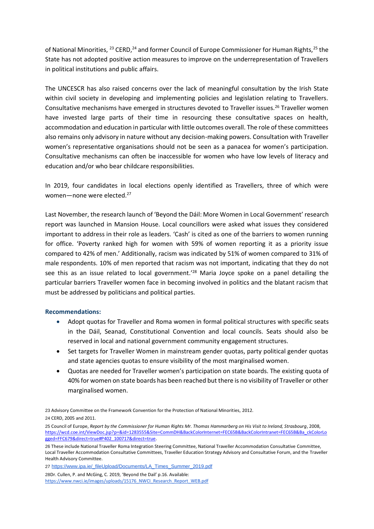of National Minorities, <sup>23</sup> CERD, <sup>24</sup> and former Council of Europe Commissioner for Human Rights, <sup>25</sup> the State has not adopted positive action measures to improve on the underrepresentation of Travellers in political institutions and public affairs.

The UNCESCR has also raised concerns over the lack of meaningful consultation by the Irish State within civil society in developing and implementing policies and legislation relating to Travellers. Consultative mechanisms have emerged in structures devoted to Traveller issues.<sup>26</sup> Traveller women have invested large parts of their time in resourcing these consultative spaces on health, accommodation and education in particular with little outcomes overall. The role of these committees also remains only advisory in nature without any decision-making powers. Consultation with Traveller women's representative organisations should not be seen as a panacea for women's participation. Consultative mechanisms can often be inaccessible for women who have low levels of literacy and education and/or who bear childcare responsibilities.

In 2019, four candidates in local elections openly identified as Travellers, three of which were women—none were elected.<sup>27</sup>

Last November, the research launch of 'Beyond the Dáil: More Women in Local Government' research report was launched in Mansion House. Local councillors were asked what issues they considered important to address in their role as leaders. 'Cash' is cited as one of the barriers to women running for office. 'Poverty ranked high for women with 59% of women reporting it as a priority issue compared to 42% of men.' Additionally, racism was indicated by 51% of women compared to 31% of male respondents. 10% of men reported that racism was not important, indicating that they do not see this as an issue related to local government.<sup>'28</sup> Maria Joyce spoke on a panel detailing the particular barriers Traveller women face in becoming involved in politics and the blatant racism that must be addressed by politicians and political parties.

#### **Recommendations:**

- Adopt quotas for Traveller and Roma women in formal political structures with specific seats in the Dáil, Seanad, Constitutional Convention and local councils. Seats should also be reserved in local and national government community engagement structures.
- Set targets for Traveller Women in mainstream gender quotas, party political gender quotas and state agencies quotas to ensure visibility of the most marginalised women.
- Quotas are needed for Traveller women's participation on state boards. The existing quota of 40% for women on state boards has been reached but there is no visibility of Traveller or other marginalised women.

27 [https://www.ipa.ie/\\_fileUpload/Documents/LA\\_Times\\_Summer\\_2019.pdf](https://www.ipa.ie/_fileUpload/Documents/LA_Times_Summer_2019.pdf)

28Dr. Cullen, P. and McGing, C. 2019, 'Beyond the Dail' p.16. Available: [https://www.nwci.ie/images/uploads/15176\\_NWCI\\_Research\\_Report\\_WEB.pdf](https://www.nwci.ie/images/uploads/15176_NWCI_Research_Report_WEB.pdf)

<sup>23</sup> Advisory Committee on the Framework Convention for the Protection of National Minorities, 2012. 24 CERD, 2005 and 2011.

<sup>25</sup> Council of Europe, *Report by the Commissioner for Human Rights Mr. Thomas Hammarberg on His Visit to Ireland, Strasbourg*, 2008, [https://wcd.coe.int/ViewDoc.jsp?p=&id=1283555&Site=CommDH&BackColorInternet=FEC65B&BackColorIntranet=FEC65B&Ba\\_ckColorLo](https://wcd.coe.int/ViewDoc.jsp?p=&id=1283555&Site=CommDH&BackColorInternet=FEC65B&BackColorIntranet=FEC65B&Ba_ckColorLogged=FFC679&direct=true#P402_100717&direct=true) [gged=FFC679&direct=true#P402\\_100717&direct=true.](https://wcd.coe.int/ViewDoc.jsp?p=&id=1283555&Site=CommDH&BackColorInternet=FEC65B&BackColorIntranet=FEC65B&Ba_ckColorLogged=FFC679&direct=true#P402_100717&direct=true)

<sup>26</sup> These include National Traveller Roma Integration Steering Committee, National Traveller Accommodation Consultative Committee, Local Traveller Accommodation Consultative Committees, Traveller Education Strategy Advisory and Consultative Forum, and the Traveller Health Advisory Committee.